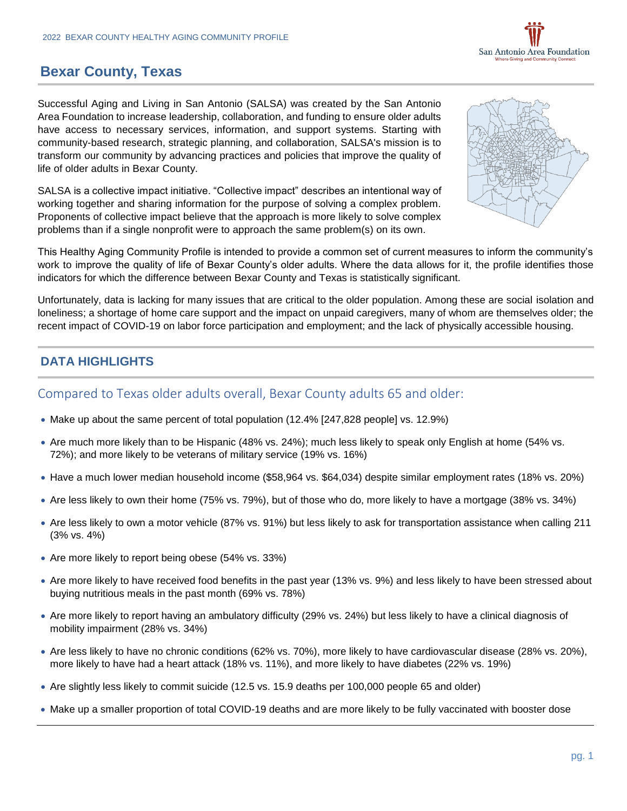

## **Bexar County, Texas**

Successful Aging and Living in San Antonio (SALSA) was created by the San Antonio Area Foundation to increase leadership, collaboration, and funding to ensure older adults have access to necessary services, information, and support systems. Starting with community-based research, strategic planning, and collaboration, SALSA's mission is to transform our community by advancing practices and policies that improve the quality of life of older adults in Bexar County.

SALSA is a collective impact initiative. "Collective impact" describes an intentional way of working together and sharing information for the purpose of solving a complex problem. Proponents of collective impact believe that the approach is more likely to solve complex problems than if a single nonprofit were to approach the same problem(s) on its own.



This Healthy Aging Community Profile is intended to provide a common set of current measures to inform the community's work to improve the quality of life of Bexar County's older adults. Where the data allows for it, the profile identifies those indicators for which the difference between Bexar County and Texas is statistically significant.

Unfortunately, data is lacking for many issues that are critical to the older population. Among these are social isolation and loneliness; a shortage of home care support and the impact on unpaid caregivers, many of whom are themselves older; the recent impact of COVID-19 on labor force participation and employment; and the lack of physically accessible housing.

## **DATA HIGHLIGHTS**

## Compared to Texas older adults overall, Bexar County adults 65 and older:

- Make up about the same percent of total population (12.4% [247,828 people] vs. 12.9%)
- Are much more likely than to be Hispanic (48% vs. 24%); much less likely to speak only English at home (54% vs. 72%); and more likely to be veterans of military service (19% vs. 16%)
- Have a much lower median household income (\$58,964 vs. \$64,034) despite similar employment rates (18% vs. 20%)
- Are less likely to own their home (75% vs. 79%), but of those who do, more likely to have a mortgage (38% vs. 34%)
- Are less likely to own a motor vehicle (87% vs. 91%) but less likely to ask for transportation assistance when calling 211 (3% vs. 4%)
- Are more likely to report being obese (54% vs. 33%)
- Are more likely to have received food benefits in the past year (13% vs. 9%) and less likely to have been stressed about buying nutritious meals in the past month (69% vs. 78%)
- Are more likely to report having an ambulatory difficulty (29% vs. 24%) but less likely to have a clinical diagnosis of mobility impairment (28% vs. 34%)
- Are less likely to have no chronic conditions (62% vs. 70%), more likely to have cardiovascular disease (28% vs. 20%), more likely to have had a heart attack (18% vs. 11%), and more likely to have diabetes (22% vs. 19%)
- Are slightly less likely to commit suicide (12.5 vs. 15.9 deaths per 100,000 people 65 and older)
- Make up a smaller proportion of total COVID-19 deaths and are more likely to be fully vaccinated with booster dose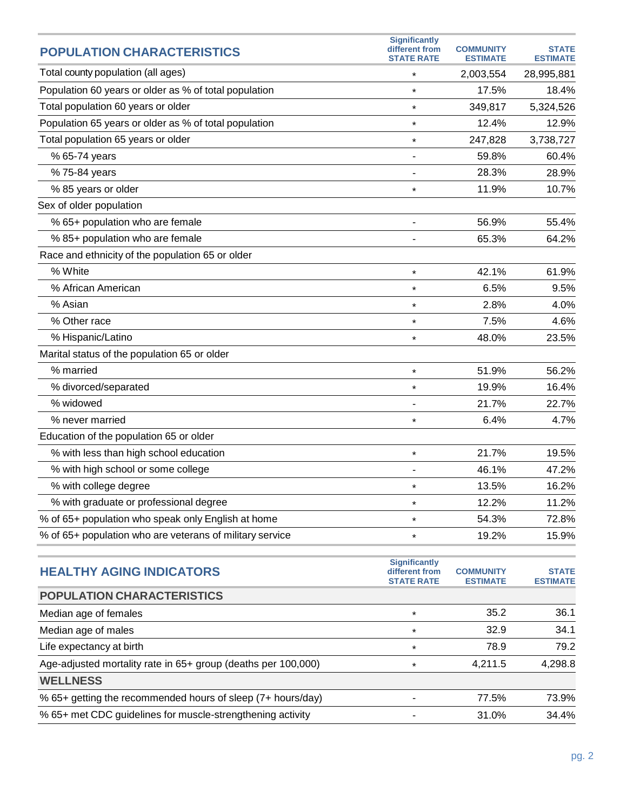| <b>POPULATION CHARACTERISTICS</b>                        | <b>Significantly</b><br>different from | <b>COMMUNITY</b> | <b>STATE</b>    |
|----------------------------------------------------------|----------------------------------------|------------------|-----------------|
|                                                          | <b>STATE RATE</b>                      | <b>ESTIMATE</b>  | <b>ESTIMATE</b> |
| Total county population (all ages)                       | $\star$                                | 2,003,554        | 28,995,881      |
| Population 60 years or older as % of total population    | $\star$                                | 17.5%            | 18.4%           |
| Total population 60 years or older                       | $\star$                                | 349,817          | 5,324,526       |
| Population 65 years or older as % of total population    | $\star$                                | 12.4%            | 12.9%           |
| Total population 65 years or older                       | $\star$                                | 247,828          | 3,738,727       |
| % 65-74 years                                            |                                        | 59.8%            | 60.4%           |
| % 75-84 years                                            |                                        | 28.3%            | 28.9%           |
| % 85 years or older                                      | $\star$                                | 11.9%            | 10.7%           |
| Sex of older population                                  |                                        |                  |                 |
| % 65+ population who are female                          | ٠                                      | 56.9%            | 55.4%           |
| % 85+ population who are female                          |                                        | 65.3%            | 64.2%           |
| Race and ethnicity of the population 65 or older         |                                        |                  |                 |
| % White                                                  | $\star$                                | 42.1%            | 61.9%           |
| % African American                                       | $\star$                                | 6.5%             | 9.5%            |
| % Asian                                                  | $\star$                                | 2.8%             | 4.0%            |
| % Other race                                             | $\star$                                | 7.5%             | 4.6%            |
| % Hispanic/Latino                                        | $\star$                                | 48.0%            | 23.5%           |
| Marital status of the population 65 or older             |                                        |                  |                 |
| % married                                                | $\star$                                | 51.9%            | 56.2%           |
| % divorced/separated                                     | $\star$                                | 19.9%            | 16.4%           |
| % widowed                                                |                                        | 21.7%            | 22.7%           |
| % never married                                          | $\star$                                | 6.4%             | 4.7%            |
| Education of the population 65 or older                  |                                        |                  |                 |
| % with less than high school education                   | $\star$                                | 21.7%            | 19.5%           |
| % with high school or some college                       |                                        | 46.1%            | 47.2%           |
| % with college degree                                    | $\star$                                | 13.5%            | 16.2%           |
| % with graduate or professional degree                   | $\star$                                | 12.2%            | 11.2%           |
| % of 65+ population who speak only English at home       | $\star$                                | 54.3%            | 72.8%           |
| % of 65+ population who are veterans of military service | $\star$                                | 19.2%            | 15.9%           |
|                                                          |                                        |                  |                 |

| <b>Significantly</b><br>different from<br><b>STATE RATE</b> | <b>COMMUNITY</b><br><b>ESTIMATE</b> | <b>STATE</b><br><b>ESTIMATE</b> |
|-------------------------------------------------------------|-------------------------------------|---------------------------------|
|                                                             |                                     |                                 |
| $\star$                                                     | 35.2                                | 36.1                            |
| $\star$                                                     | 32.9                                | 34.1                            |
| $\star$                                                     | 78.9                                | 79.2                            |
| $\star$                                                     | 4.211.5                             | 4,298.8                         |
|                                                             |                                     |                                 |
|                                                             | 77.5%                               | 73.9%                           |
|                                                             | 31.0%                               | 34.4%                           |
|                                                             |                                     |                                 |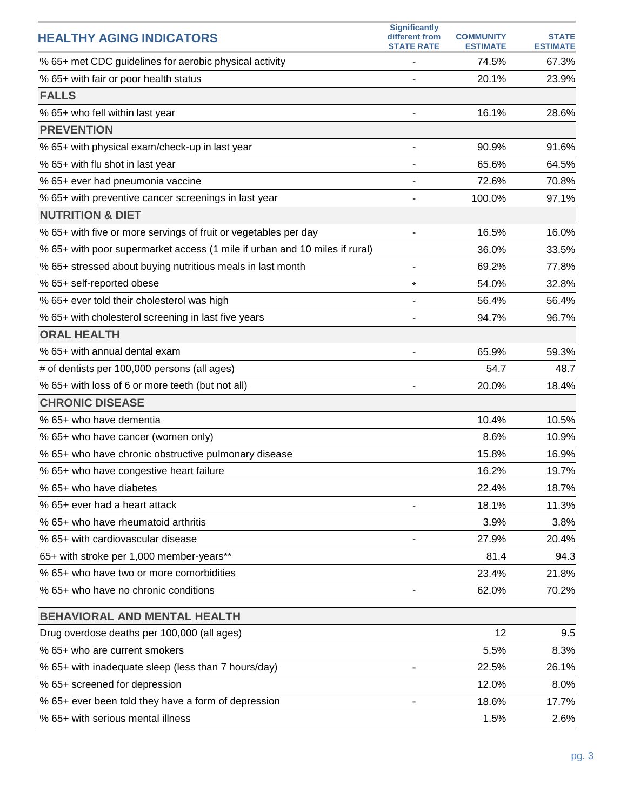| <b>HEALTHY AGING INDICATORS</b>                                            | <b>Significantly</b><br>different from<br><b>STATE RATE</b> | <b>COMMUNITY</b><br><b>ESTIMATE</b> | <b>STATE</b><br><b>ESTIMATE</b> |
|----------------------------------------------------------------------------|-------------------------------------------------------------|-------------------------------------|---------------------------------|
| % 65+ met CDC guidelines for aerobic physical activity                     | -                                                           | 74.5%                               | 67.3%                           |
| % 65+ with fair or poor health status                                      |                                                             | 20.1%                               | 23.9%                           |
| <b>FALLS</b>                                                               |                                                             |                                     |                                 |
| % 65+ who fell within last year                                            |                                                             | 16.1%                               | 28.6%                           |
| <b>PREVENTION</b>                                                          |                                                             |                                     |                                 |
| % 65+ with physical exam/check-up in last year                             | ۰                                                           | 90.9%                               | 91.6%                           |
| % 65+ with flu shot in last year                                           |                                                             | 65.6%                               | 64.5%                           |
| % 65+ ever had pneumonia vaccine                                           |                                                             | 72.6%                               | 70.8%                           |
| % 65+ with preventive cancer screenings in last year                       |                                                             | 100.0%                              | 97.1%                           |
| <b>NUTRITION &amp; DIET</b>                                                |                                                             |                                     |                                 |
| % 65+ with five or more servings of fruit or vegetables per day            |                                                             | 16.5%                               | 16.0%                           |
| % 65+ with poor supermarket access (1 mile if urban and 10 miles if rural) |                                                             | 36.0%                               | 33.5%                           |
| % 65+ stressed about buying nutritious meals in last month                 |                                                             | 69.2%                               | 77.8%                           |
| % 65+ self-reported obese                                                  | $\star$                                                     | 54.0%                               | 32.8%                           |
| % 65+ ever told their cholesterol was high                                 |                                                             | 56.4%                               | 56.4%                           |
| % 65+ with cholesterol screening in last five years                        |                                                             | 94.7%                               | 96.7%                           |
| <b>ORAL HEALTH</b>                                                         |                                                             |                                     |                                 |
| % 65+ with annual dental exam                                              |                                                             | 65.9%                               | 59.3%                           |
| # of dentists per 100,000 persons (all ages)                               |                                                             | 54.7                                | 48.7                            |
| % 65+ with loss of 6 or more teeth (but not all)                           |                                                             | 20.0%                               | 18.4%                           |
| <b>CHRONIC DISEASE</b>                                                     |                                                             |                                     |                                 |
| % 65+ who have dementia                                                    |                                                             | 10.4%                               | 10.5%                           |
| % 65+ who have cancer (women only)                                         |                                                             | 8.6%                                | 10.9%                           |
| % 65+ who have chronic obstructive pulmonary disease                       |                                                             | 15.8%                               | 16.9%                           |
| % 65+ who have congestive heart failure                                    |                                                             | 16.2%                               | 19.7%                           |
| % 65+ who have diabetes                                                    |                                                             | 22.4%                               | 18.7%                           |
| % 65+ ever had a heart attack                                              |                                                             | 18.1%                               | 11.3%                           |
| % 65+ who have rheumatoid arthritis                                        |                                                             | 3.9%                                | 3.8%                            |
| % 65+ with cardiovascular disease                                          |                                                             | 27.9%                               | 20.4%                           |
| 65+ with stroke per 1,000 member-years**                                   |                                                             | 81.4                                | 94.3                            |
| % 65+ who have two or more comorbidities                                   |                                                             | 23.4%                               | 21.8%                           |
| % 65+ who have no chronic conditions                                       |                                                             | 62.0%                               | 70.2%                           |
| <b>BEHAVIORAL AND MENTAL HEALTH</b>                                        |                                                             |                                     |                                 |
| Drug overdose deaths per 100,000 (all ages)                                |                                                             | 12                                  | 9.5                             |
| % 65+ who are current smokers                                              |                                                             | 5.5%                                | 8.3%                            |
| % 65+ with inadequate sleep (less than 7 hours/day)                        |                                                             | 22.5%                               | 26.1%                           |
| % 65+ screened for depression                                              |                                                             | 12.0%                               | 8.0%                            |
| % 65+ ever been told they have a form of depression                        |                                                             | 18.6%                               | 17.7%                           |
| % 65+ with serious mental illness                                          |                                                             | 1.5%                                | 2.6%                            |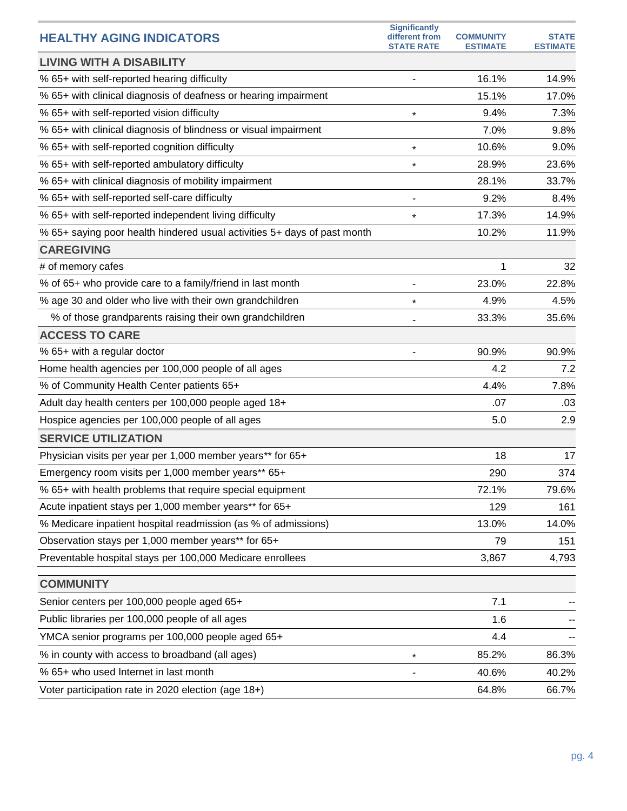| <b>HEALTHY AGING INDICATORS</b>                                          | <b>Significantly</b><br>different from<br><b>STATE RATE</b> | <b>COMMUNITY</b><br><b>ESTIMATE</b> | <b>STATE</b><br><b>ESTIMATE</b> |
|--------------------------------------------------------------------------|-------------------------------------------------------------|-------------------------------------|---------------------------------|
| <b>LIVING WITH A DISABILITY</b>                                          |                                                             |                                     |                                 |
| % 65+ with self-reported hearing difficulty                              |                                                             | 16.1%                               | 14.9%                           |
| % 65+ with clinical diagnosis of deafness or hearing impairment          |                                                             | 15.1%                               | 17.0%                           |
| % 65+ with self-reported vision difficulty                               | $\star$                                                     | 9.4%                                | 7.3%                            |
| % 65+ with clinical diagnosis of blindness or visual impairment          |                                                             | 7.0%                                | 9.8%                            |
| % 65+ with self-reported cognition difficulty                            | $\star$                                                     | 10.6%                               | 9.0%                            |
| % 65+ with self-reported ambulatory difficulty                           | $\star$                                                     | 28.9%                               | 23.6%                           |
| % 65+ with clinical diagnosis of mobility impairment                     |                                                             | 28.1%                               | 33.7%                           |
| % 65+ with self-reported self-care difficulty                            |                                                             | 9.2%                                | 8.4%                            |
| % 65+ with self-reported independent living difficulty                   | $\star$                                                     | 17.3%                               | 14.9%                           |
| % 65+ saying poor health hindered usual activities 5+ days of past month |                                                             | 10.2%                               | 11.9%                           |
| <b>CAREGIVING</b>                                                        |                                                             |                                     |                                 |
| # of memory cafes                                                        |                                                             | 1                                   | 32                              |
| % of 65+ who provide care to a family/friend in last month               |                                                             | 23.0%                               | 22.8%                           |
| % age 30 and older who live with their own grandchildren                 | $\star$                                                     | 4.9%                                | 4.5%                            |
| % of those grandparents raising their own grandchildren                  |                                                             | 33.3%                               | 35.6%                           |
| <b>ACCESS TO CARE</b>                                                    |                                                             |                                     |                                 |
| % 65+ with a regular doctor                                              |                                                             | 90.9%                               | 90.9%                           |
| Home health agencies per 100,000 people of all ages                      |                                                             | 4.2                                 | 7.2                             |
| % of Community Health Center patients 65+                                |                                                             | 4.4%                                | 7.8%                            |
| Adult day health centers per 100,000 people aged 18+                     |                                                             | .07                                 | .03                             |
| Hospice agencies per 100,000 people of all ages                          |                                                             | 5.0                                 | 2.9                             |
| <b>SERVICE UTILIZATION</b>                                               |                                                             |                                     |                                 |
| Physician visits per year per 1,000 member years** for 65+               |                                                             | 18                                  | 17                              |
| Emergency room visits per 1,000 member years** 65+                       |                                                             | 290                                 | 374                             |
| % 65+ with health problems that require special equipment                |                                                             | 72.1%                               | 79.6%                           |
| Acute inpatient stays per 1,000 member years** for 65+                   |                                                             | 129                                 | 161                             |
| % Medicare inpatient hospital readmission (as % of admissions)           |                                                             | 13.0%                               | 14.0%                           |
| Observation stays per 1,000 member years** for 65+                       |                                                             | 79                                  | 151                             |
| Preventable hospital stays per 100,000 Medicare enrollees                |                                                             | 3,867                               | 4,793                           |
| <b>COMMUNITY</b>                                                         |                                                             |                                     |                                 |
| Senior centers per 100,000 people aged 65+                               |                                                             | 7.1                                 |                                 |
| Public libraries per 100,000 people of all ages                          |                                                             | 1.6                                 |                                 |
| YMCA senior programs per 100,000 people aged 65+                         |                                                             | 4.4                                 |                                 |
| % in county with access to broadband (all ages)                          | $\star$                                                     | 85.2%                               | 86.3%                           |
| % 65+ who used Internet in last month                                    |                                                             | 40.6%                               | 40.2%                           |
| Voter participation rate in 2020 election (age 18+)                      |                                                             | 64.8%                               | 66.7%                           |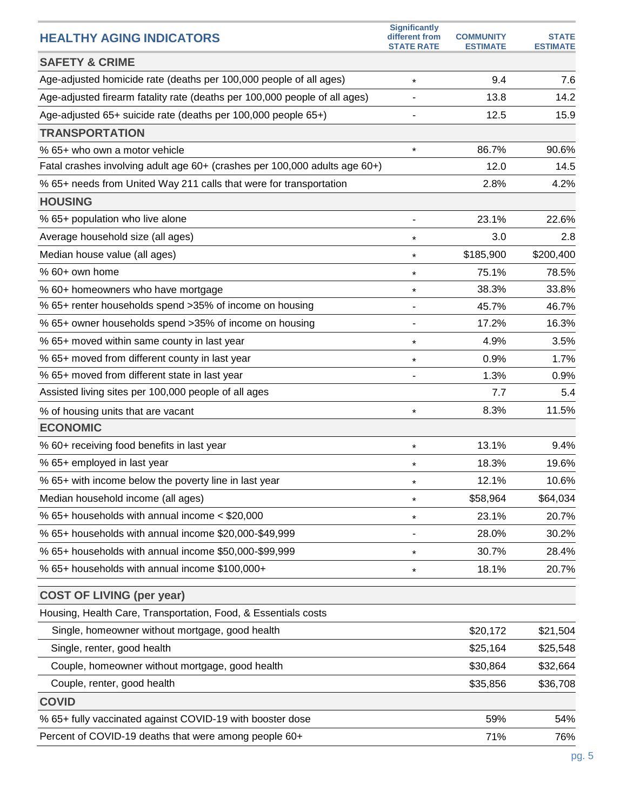| <b>HEALTHY AGING INDICATORS</b>                                            | <b>Significantly</b><br>different from | <b>COMMUNITY</b> | <b>STATE</b>    |
|----------------------------------------------------------------------------|----------------------------------------|------------------|-----------------|
| <b>SAFETY &amp; CRIME</b>                                                  | <b>STATE RATE</b>                      | <b>ESTIMATE</b>  | <b>ESTIMATE</b> |
| Age-adjusted homicide rate (deaths per 100,000 people of all ages)         | $\star$                                | 9.4              | 7.6             |
| Age-adjusted firearm fatality rate (deaths per 100,000 people of all ages) |                                        | 13.8             | 14.2            |
| Age-adjusted 65+ suicide rate (deaths per 100,000 people 65+)              |                                        | 12.5             | 15.9            |
| <b>TRANSPORTATION</b>                                                      |                                        |                  |                 |
| % 65+ who own a motor vehicle                                              | $\star$                                | 86.7%            | 90.6%           |
| Fatal crashes involving adult age 60+ (crashes per 100,000 adults age 60+) |                                        | 12.0             | 14.5            |
| % 65+ needs from United Way 211 calls that were for transportation         |                                        | 2.8%             | 4.2%            |
| <b>HOUSING</b>                                                             |                                        |                  |                 |
| % 65+ population who live alone                                            |                                        | 23.1%            | 22.6%           |
| Average household size (all ages)                                          | $\star$                                | 3.0              | 2.8             |
| Median house value (all ages)                                              | $\star$                                | \$185,900        | \$200,400       |
| % 60+ own home                                                             | $\star$                                | 75.1%            | 78.5%           |
| % 60+ homeowners who have mortgage                                         | $\star$                                | 38.3%            | 33.8%           |
| % 65+ renter households spend >35% of income on housing                    |                                        | 45.7%            | 46.7%           |
| % 65+ owner households spend >35% of income on housing                     |                                        | 17.2%            | 16.3%           |
| % 65+ moved within same county in last year                                | $\star$                                | 4.9%             | 3.5%            |
| % 65+ moved from different county in last year                             | $\star$                                | 0.9%             | 1.7%            |
| % 65+ moved from different state in last year                              | -                                      | 1.3%             | 0.9%            |
| Assisted living sites per 100,000 people of all ages                       |                                        | 7.7              | 5.4             |
| % of housing units that are vacant                                         | $\star$                                | 8.3%             | 11.5%           |
| <b>ECONOMIC</b>                                                            |                                        |                  |                 |
| % 60+ receiving food benefits in last year                                 | $\star$                                | 13.1%            | 9.4%            |
| % 65+ employed in last year                                                | $\star$                                | 18.3%            | 19.6%           |
| % 65+ with income below the poverty line in last year                      | $\star$                                | 12.1%            | 10.6%           |
| Median household income (all ages)                                         | $\star$                                | \$58,964         | \$64,034        |
| % 65+ households with annual income $<$ \$20,000                           | $\star$                                | 23.1%            | 20.7%           |
| % 65+ households with annual income \$20,000-\$49,999                      |                                        | 28.0%            | 30.2%           |
| % 65+ households with annual income \$50,000-\$99,999                      | $\star$                                | 30.7%            | 28.4%           |
| % 65+ households with annual income \$100,000+                             | *                                      | 18.1%            | 20.7%           |
| <b>COST OF LIVING (per year)</b>                                           |                                        |                  |                 |
| Housing, Health Care, Transportation, Food, & Essentials costs             |                                        |                  |                 |
| Single, homeowner without mortgage, good health                            |                                        | \$20,172         | \$21,504        |
| Single, renter, good health                                                |                                        | \$25,164         | \$25,548        |
| Couple, homeowner without mortgage, good health                            |                                        | \$30,864         | \$32,664        |
| Couple, renter, good health                                                |                                        | \$35,856         | \$36,708        |
| <b>COVID</b>                                                               |                                        |                  |                 |
| % 65+ fully vaccinated against COVID-19 with booster dose                  |                                        | 59%              | 54%             |
| Percent of COVID-19 deaths that were among people 60+                      |                                        | 71%              | 76%             |